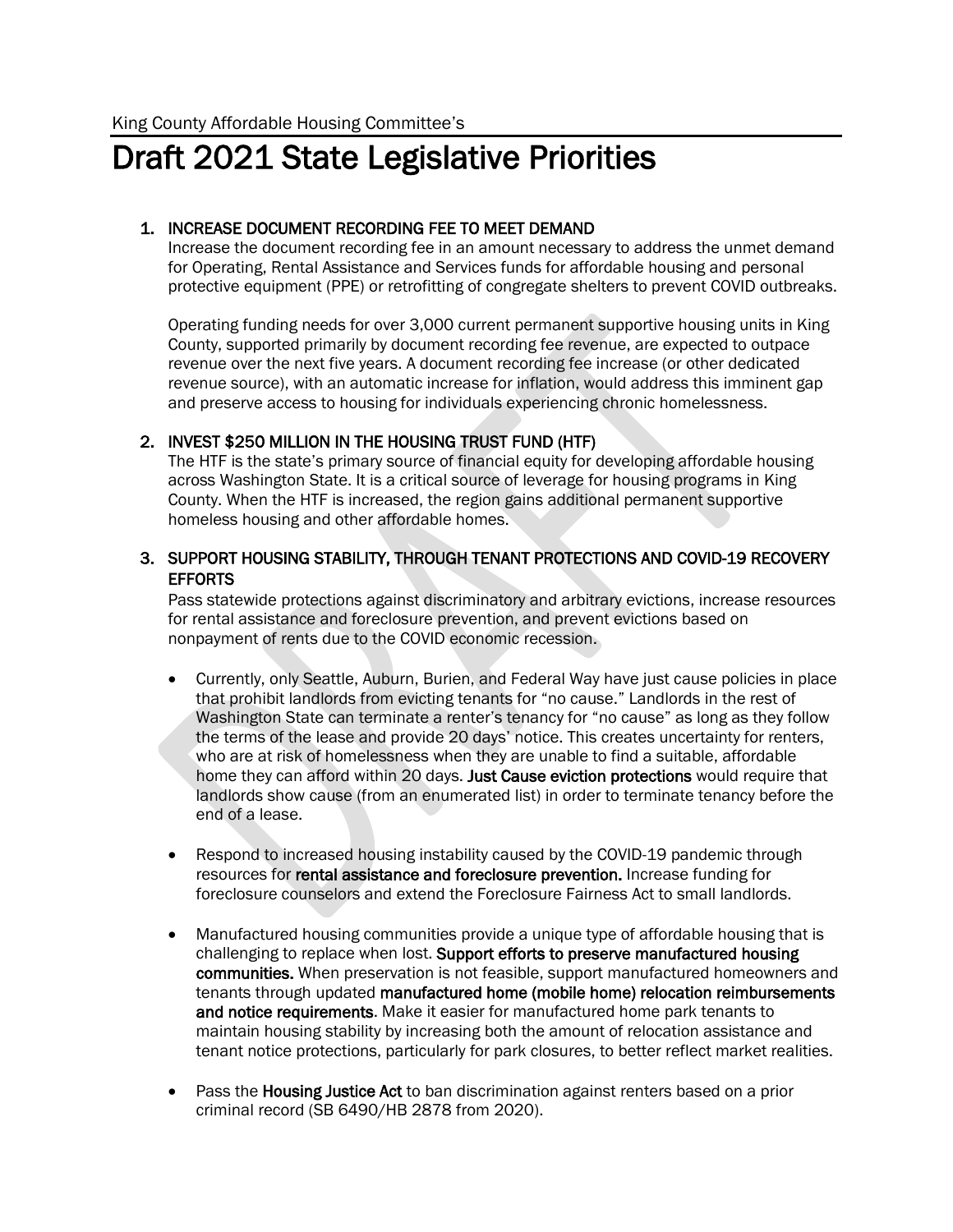# Draft 2021 State Legislative Priorities

### 1. INCREASE DOCUMENT RECORDING FEE TO MEET DEMAND

Increase the document recording fee in an amount necessary to address the unmet demand for Operating, Rental Assistance and Services funds for affordable housing and personal protective equipment (PPE) or retrofitting of congregate shelters to prevent COVID outbreaks.

Operating funding needs for over 3,000 current permanent supportive housing units in King County, supported primarily by document recording fee revenue, are expected to outpace revenue over the next five years. A document recording fee increase (or other dedicated revenue source), with an automatic increase for inflation, would address this imminent gap and preserve access to housing for individuals experiencing chronic homelessness.

### 2. INVEST \$250 MILLION IN THE HOUSING TRUST FUND (HTF)

The HTF is the state's primary source of financial equity for developing affordable housing across Washington State. It is a critical source of leverage for housing programs in King County. When the HTF is increased, the region gains additional permanent supportive homeless housing and other affordable homes.

### 3. SUPPORT HOUSING STABILITY, THROUGH TENANT PROTECTIONS AND COVID-19 RECOVERY **EFFORTS**

Pass statewide protections against discriminatory and arbitrary evictions, increase resources for rental assistance and foreclosure prevention, and prevent evictions based on nonpayment of rents due to the COVID economic recession.

- Currently, only Seattle, Auburn, Burien, and Federal Way have just cause policies in place that prohibit landlords from evicting tenants for "no cause." Landlords in the rest of Washington State can terminate a renter's tenancy for "no cause" as long as they follow the terms of the lease and provide 20 days' notice. This creates uncertainty for renters, who are at risk of homelessness when they are unable to find a suitable, affordable home they can afford within 20 days. Just Cause eviction protections would require that landlords show cause (from an enumerated list) in order to terminate tenancy before the end of a lease.
- Respond to increased housing instability caused by the COVID-19 pandemic through resources for rental assistance and foreclosure prevention. Increase funding for foreclosure counselors and extend the Foreclosure Fairness Act to small landlords.
- Manufactured housing communities provide a unique type of affordable housing that is challenging to replace when lost. Support efforts to preserve manufactured housing communities. When preservation is not feasible, support manufactured homeowners and tenants through updated manufactured home (mobile home) relocation reimbursements and notice requirements. Make it easier for manufactured home park tenants to maintain housing stability by increasing both the amount of relocation assistance and tenant notice protections, particularly for park closures, to better reflect market realities.
- Pass the **Housing Justice Act** to ban discrimination against renters based on a prior criminal record (SB 6490/HB 2878 from 2020).